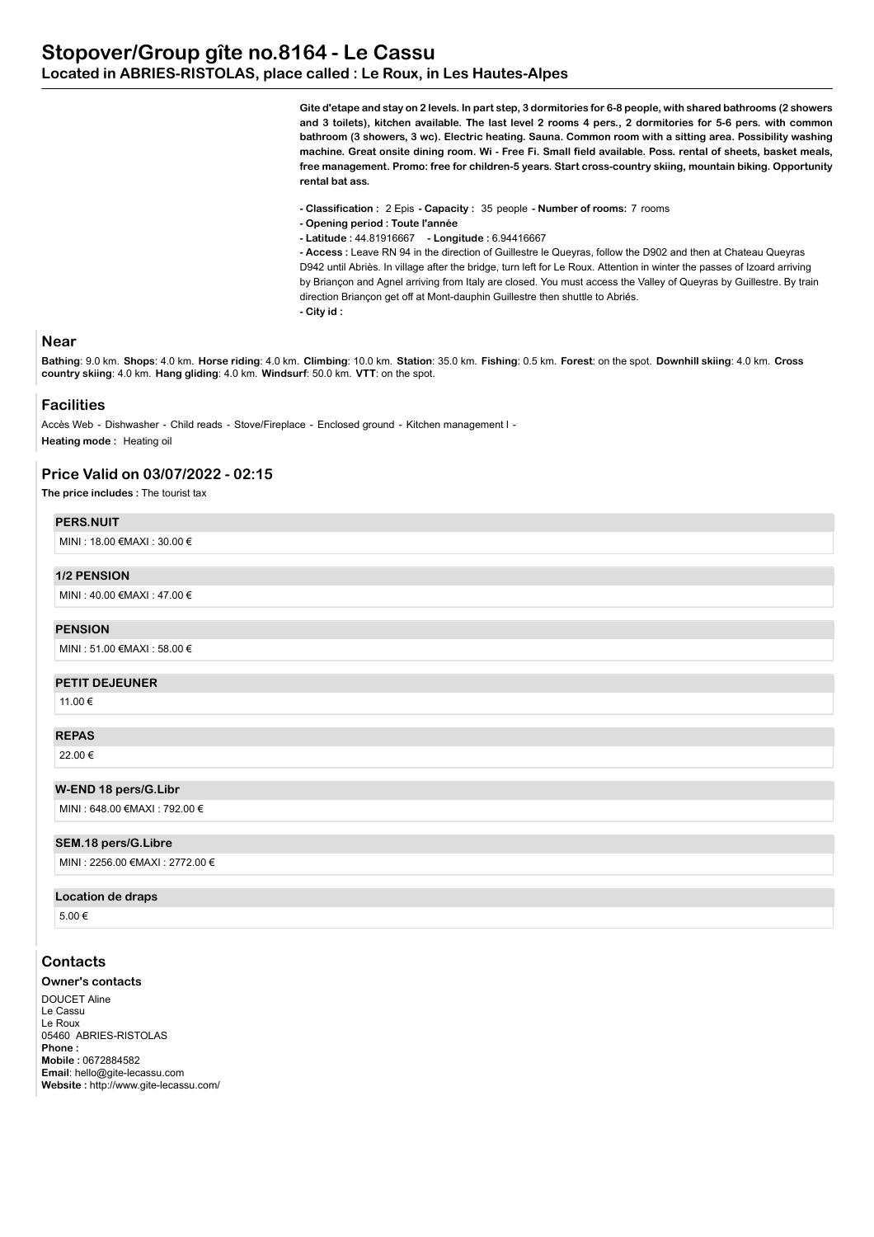**Gite d'etape and stay on 2 levels. In part step, 3 dormitories for 6-8 people, with shared bathrooms (2 showers and 3 toilets), kitchen available. The last level 2 rooms 4 pers., 2 dormitories for 5-6 pers. with common bathroom (3 showers, 3 wc). Electric heating. Sauna. Common room with a sitting area. Possibility washing machine. Great onsite dining room. Wi - Free Fi. Small field available. Poss. rental of sheets, basket meals, free management. Promo: free for children-5 years. Start cross-country skiing, mountain biking. Opportunity rental bat ass.**

- **Classification :** 2 Epis  **Capacity :** 35 people  **Number of rooms:** 7 rooms
- **Opening period : Toute l'année**
- **Latitude :** 44.81916667  **Longitude :** 6.94416667

**- Access :** Leave RN 94 in the direction of Guillestre le Queyras, follow the D902 and then at Chateau Queyras D942 until Abriès. In village after the bridge, turn left for Le Roux. Attention in winter the passes of Izoard arriving by Briançon and Agnel arriving from Italy are closed. You must access the Valley of Queyras by Guillestre. By train direction Briançon get off at Mont-dauphin Guillestre then shuttle to Abriés. **- City id :** 

## **Near**

**Bathing**: 9.0 km. **Shops**: 4.0 km. **Horse riding**: 4.0 km. **Climbing**: 10.0 km. **Station**: 35.0 km. **Fishing**: 0.5 km. **Forest**: on the spot. **Downhill skiing**: 4.0 km. **Cross country skiing**: 4.0 km. **Hang gliding**: 4.0 km. **Windsurf**: 50.0 km. **VTT**: on the spot.

## **Facilities**

Accès Web - Dishwasher - Child reads - Stove/Fireplace - Enclosed ground - Kitchen management l -**Heating mode :** Heating oil

# **Price Valid on 03/07/2022 - 02:15**

**The price includes :** The tourist tax

## **PERS.NUIT**

MINI : 18.00 €MAXI : 30.00 €

## **1/2 PENSION**

MINI : 40.00 €MAXI : 47.00 €

#### **PENSION**

MINI : 51.00 €MAXI : 58.00 €

#### **PETIT DEJEUNER**

11.00 €

# **REPAS**

22.00 €

#### **W-END 18 pers/G.Libr**

MINI : 648.00 €MAXI : 792.00 €

## **SEM.18 pers/G.Libre**

MINI : 2256.00 €MAXI : 2772.00 €

#### **Location de draps**

5.00 €

# **Contacts**

## **Owner's contacts**

DOUCET Aline Le Cassu Le Roux 05460 ABRIES-RISTOLAS **Phone : Mobile :** 0672884582 **Email**: hello@gite-lecassu.com **Website :** http://www.gite-lecassu.com/